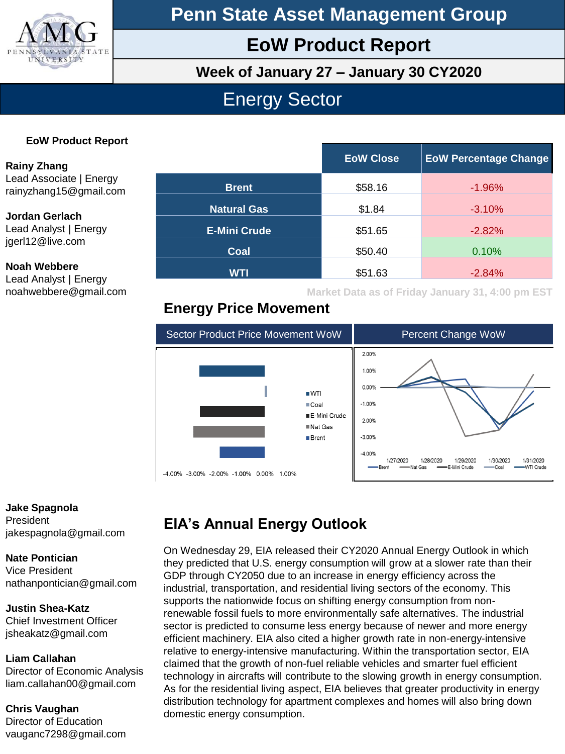

**Penn State Asset Management Group**

## **EoW Product Report**

**Week of January 27 – January 30 CY2020**

## Energy Sector

### **EoW Product Report**

**Rainy Zhang** Lead Associate | Energy rainyzhang15@gmail.com

### **Jordan Gerlach**

Lead Analyst | Energy jgerl12@live.com

#### **Noah Webbere**

Lead Analyst | Energy noahwebbere@gmail.com

|                     | <b>EoW Close</b> | <b>EoW Percentage Change</b> |
|---------------------|------------------|------------------------------|
| <b>Brent</b>        | \$58.16          | $-1.96%$                     |
| <b>Natural Gas</b>  | \$1.84           | $-3.10%$                     |
| <b>E-Mini Crude</b> | \$51.65          | $-2.82%$                     |
| Coal                | \$50.40          | 0.10%                        |
| <b>WTI</b>          | \$51.63          | $-2.84%$                     |

**Market Data as of Friday January 31, 4:00 pm EST**

### **Energy Price Movement**



#### **Jake Spagnola** President jakespagnola@gmail.com

#### **Nate Pontician**

Vice President nathanpontician@gmail.com

### **Justin Shea-Katz**

Chief Investment Officer jsheakatz@gmail.com

### **Liam Callahan**

Director of Economic Analysis liam.callahan00@gmail.com

### **Chris Vaughan**

Director of Education vauganc7298@gmail.com

## **EIA's Annual Energy Outlook**

On Wednesday 29, EIA released their CY2020 Annual Energy Outlook in which they predicted that U.S. energy consumption will grow at a slower rate than their GDP through CY2050 due to an increase in energy efficiency across the industrial, transportation, and residential living sectors of the economy. This supports the nationwide focus on shifting energy consumption from nonrenewable fossil fuels to more environmentally safe alternatives. The industrial sector is predicted to consume less energy because of newer and more energy efficient machinery. EIA also cited a higher growth rate in non-energy-intensive relative to energy-intensive manufacturing. Within the transportation sector, EIA claimed that the growth of non-fuel reliable vehicles and smarter fuel efficient technology in aircrafts will contribute to the slowing growth in energy consumption. As for the residential living aspect, EIA believes that greater productivity in energy distribution technology for apartment complexes and homes will also bring down domestic energy consumption.